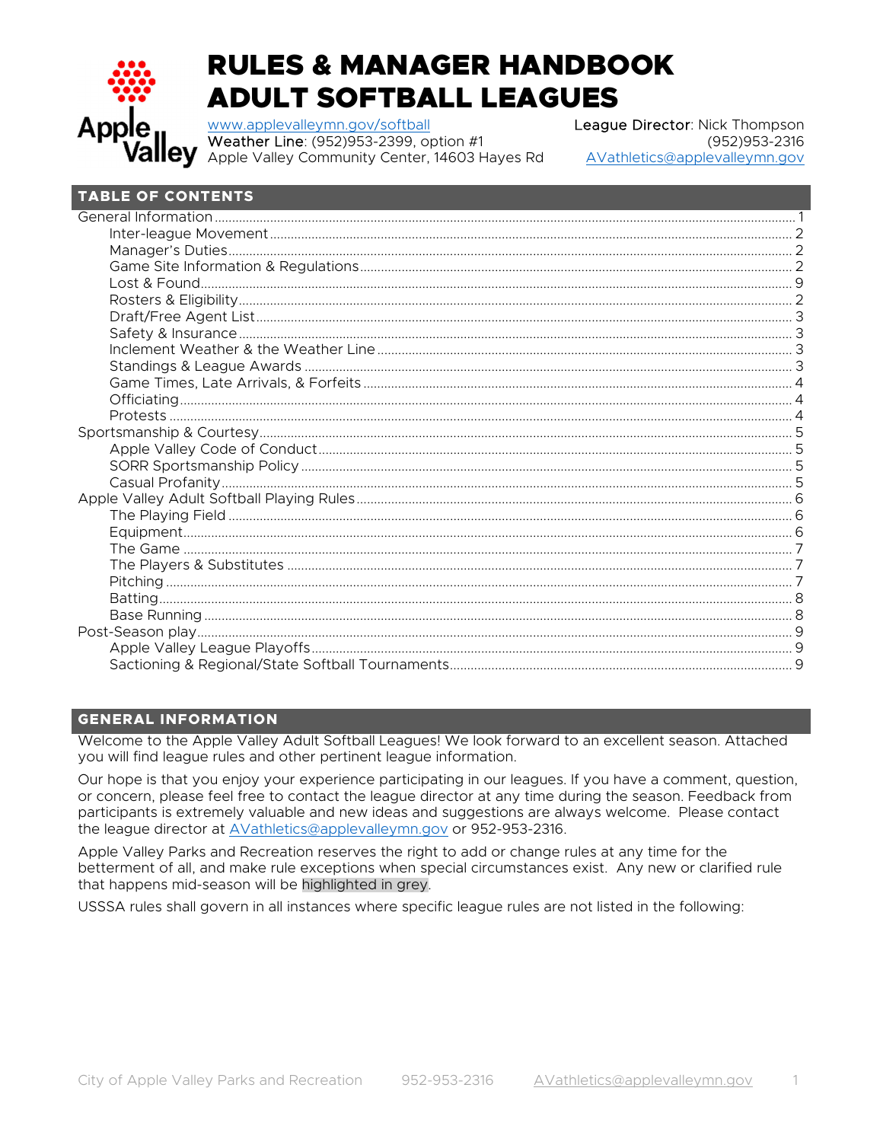

# **RULES & MANAGER HANDBOOK ADULT SOFTBALL LEAGUES**

www.applevalleymn.gov/softball Weather Line: (952)953-2399, option #1 Apple Valley Community Center, 14603 Hayes Rd League Director: Nick Thompson (952) 953-2316 AVathletics@applevalleymn.gov

# **TABLE OF CONTENTS**

# **GENERAL INFORMATION**

Welcome to the Apple Valley Adult Softball Leagues! We look forward to an excellent season. Attached you will find league rules and other pertinent league information.

Our hope is that you enjoy your experience participating in our leagues. If you have a comment, question, or concern, please feel free to contact the league director at any time during the season. Feedback from participants is extremely valuable and new ideas and suggestions are always welcome. Please contact the league director at AVathletics@applevalleymn.gov or 952-953-2316.

Apple Valley Parks and Recreation reserves the right to add or change rules at any time for the betterment of all, and make rule exceptions when special circumstances exist. Any new or clarified rule that happens mid-season will be highlighted in grey.

USSSA rules shall govern in all instances where specific league rules are not listed in the following: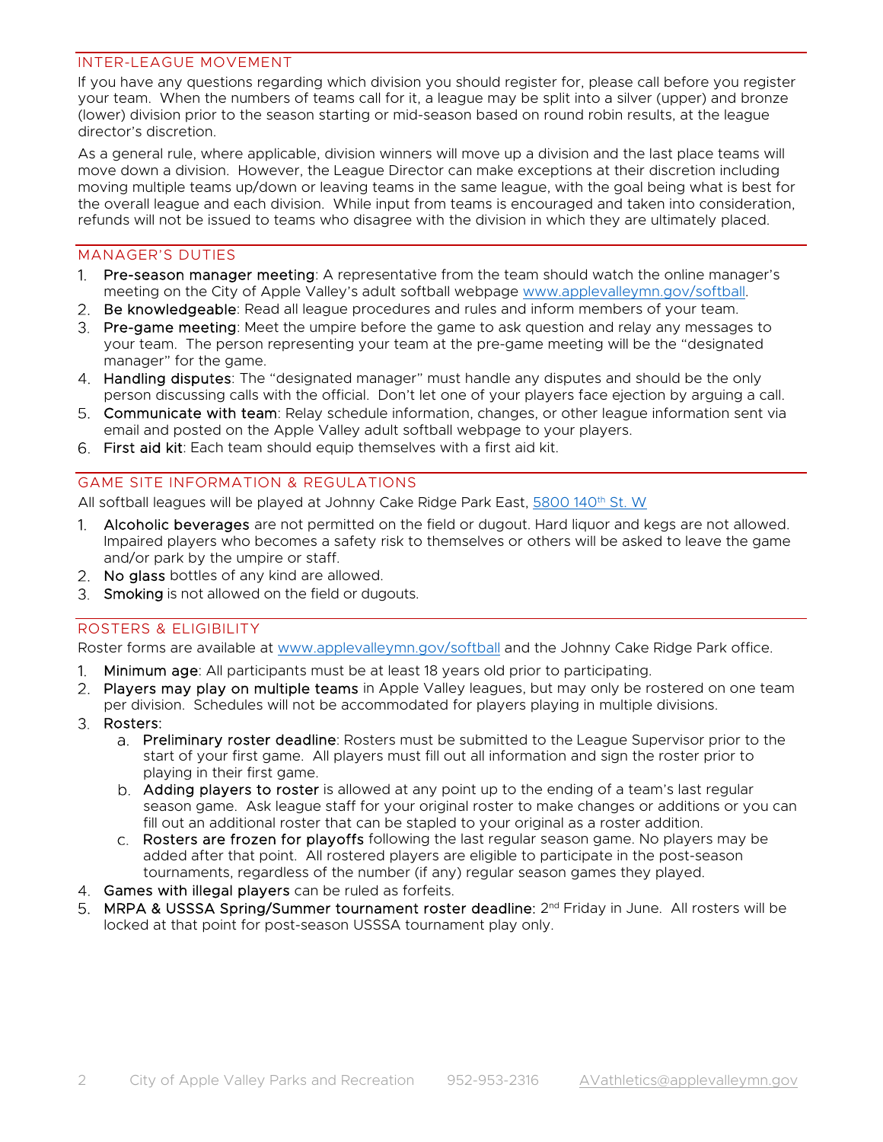#### INTER-LEAGUE MOVEMENT

If you have any questions regarding which division you should register for, please call before you register your team. When the numbers of teams call for it, a league may be split into a silver (upper) and bronze (lower) division prior to the season starting or mid-season based on round robin results, at the league director's discretion.

As a general rule, where applicable, division winners will move up a division and the last place teams will move down a division. However, the League Director can make exceptions at their discretion including moving multiple teams up/down or leaving teams in the same league, with the goal being what is best for the overall league and each division. While input from teams is encouraged and taken into consideration, refunds will not be issued to teams who disagree with the division in which they are ultimately placed.

#### MANAGER'S DUTIES

- 1. Pre-season manager meeting: A representative from the team should watch the online manager's meeting on the City of Apple Valley's adult softball webpage www.applevalleymn.gov/softball.
- 2. Be knowledgeable: Read all league procedures and rules and inform members of your team.
- 3. Pre-game meeting: Meet the umpire before the game to ask question and relay any messages to your team. The person representing your team at the pre-game meeting will be the "designated manager" for the game.
- 4. Handling disputes: The "designated manager" must handle any disputes and should be the only person discussing calls with the official. Don't let one of your players face ejection by arguing a call.
- 5. Communicate with team: Relay schedule information, changes, or other league information sent via email and posted on the Apple Valley adult softball webpage to your players.
- First aid kit: Each team should equip themselves with a first aid kit.

#### GAME SITE INFORMATION & REGULATIONS

All softball leagues will be played at Johnny Cake Ridge Park East, 5800 140th St. W

- 1. Alcoholic beverages are not permitted on the field or dugout. Hard liquor and kegs are not allowed. Impaired players who becomes a safety risk to themselves or others will be asked to leave the game and/or park by the umpire or staff.
- 2. No glass bottles of any kind are allowed.
- 3. Smoking is not allowed on the field or dugouts.

## ROSTERS & ELIGIBILITY

Roster forms are available at www.applevalleymn.gov/softball and the Johnny Cake Ridge Park office.

- Minimum age: All participants must be at least 18 years old prior to participating.  $1^{\circ}$
- 2. Players may play on multiple teams in Apple Valley leagues, but may only be rostered on one team per division. Schedules will not be accommodated for players playing in multiple divisions.
- 3. Rosters:
	- Preliminary roster deadline: Rosters must be submitted to the League Supervisor prior to the start of your first game. All players must fill out all information and sign the roster prior to playing in their first game.
	- b. Adding players to roster is allowed at any point up to the ending of a team's last regular season game. Ask league staff for your original roster to make changes or additions or you can fill out an additional roster that can be stapled to your original as a roster addition.
	- c. Rosters are frozen for playoffs following the last regular season game. No players may be added after that point. All rostered players are eligible to participate in the post-season tournaments, regardless of the number (if any) regular season games they played.
- 4. Games with illegal players can be ruled as forfeits.
- 5. MRPA & USSSA Spring/Summer tournament roster deadline:  $2<sup>nd</sup>$  Friday in June. All rosters will be locked at that point for post-season USSSA tournament play only.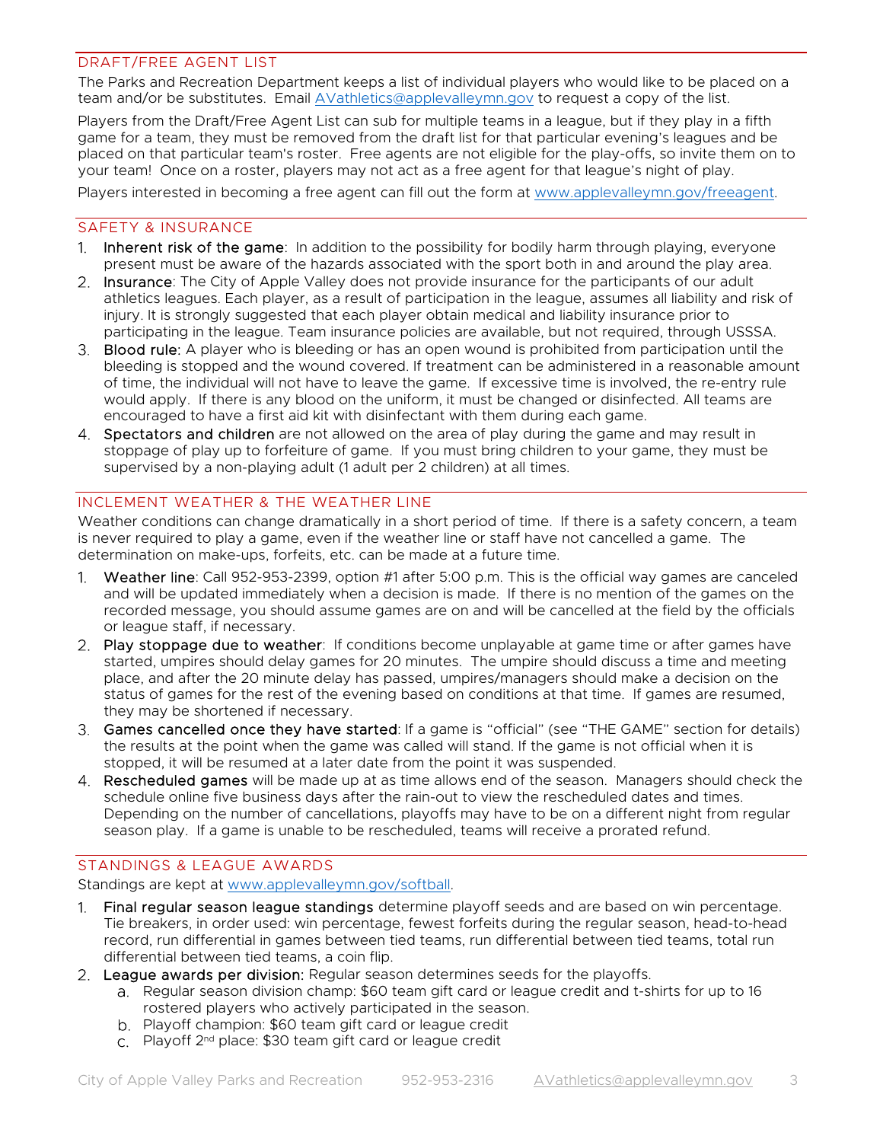## DRAFT/FREE AGENT LIST

The Parks and Recreation Department keeps a list of individual players who would like to be placed on a team and/or be substitutes. Email AVathletics@applevalleymn.gov to request a copy of the list.

Players from the Draft/Free Agent List can sub for multiple teams in a league, but if they play in a fifth game for a team, they must be removed from the draft list for that particular evening's leagues and be placed on that particular team's roster. Free agents are not eligible for the play-offs, so invite them on to your team! Once on a roster, players may not act as a free agent for that league's night of play.

Players interested in becoming a free agent can fill out the form at www.applevalleymn.gov/freeagent.

#### SAFETY & INSURANCE

- 1. Inherent risk of the game: In addition to the possibility for bodily harm through playing, everyone present must be aware of the hazards associated with the sport both in and around the play area.
- 2. Insurance: The City of Apple Valley does not provide insurance for the participants of our adult athletics leagues. Each player, as a result of participation in the league, assumes all liability and risk of injury. It is strongly suggested that each player obtain medical and liability insurance prior to participating in the league. Team insurance policies are available, but not required, through USSSA.
- 3. Blood rule: A player who is bleeding or has an open wound is prohibited from participation until the bleeding is stopped and the wound covered. If treatment can be administered in a reasonable amount of time, the individual will not have to leave the game. If excessive time is involved, the re-entry rule would apply. If there is any blood on the uniform, it must be changed or disinfected. All teams are encouraged to have a first aid kit with disinfectant with them during each game.
- 4. Spectators and children are not allowed on the area of play during the game and may result in stoppage of play up to forfeiture of game. If you must bring children to your game, they must be supervised by a non-playing adult (1 adult per 2 children) at all times.

## INCLEMENT WEATHER & THE WEATHER LINE

Weather conditions can change dramatically in a short period of time. If there is a safety concern, a team is never required to play a game, even if the weather line or staff have not cancelled a game. The determination on make-ups, forfeits, etc. can be made at a future time.

- 1. Weather line: Call 952-953-2399, option #1 after 5:00 p.m. This is the official way games are canceled and will be updated immediately when a decision is made. If there is no mention of the games on the recorded message, you should assume games are on and will be cancelled at the field by the officials or league staff, if necessary.
- 2. Play stoppage due to weather: If conditions become unplayable at game time or after games have started, umpires should delay games for 20 minutes. The umpire should discuss a time and meeting place, and after the 20 minute delay has passed, umpires/managers should make a decision on the status of games for the rest of the evening based on conditions at that time. If games are resumed, they may be shortened if necessary.
- Games cancelled once they have started: If a game is "official" (see "THE GAME" section for details) the results at the point when the game was called will stand. If the game is not official when it is stopped, it will be resumed at a later date from the point it was suspended.
- 4. **Rescheduled games** will be made up at as time allows end of the season. Managers should check the schedule online five business days after the rain-out to view the rescheduled dates and times. Depending on the number of cancellations, playoffs may have to be on a different night from regular season play. If a game is unable to be rescheduled, teams will receive a prorated refund.

# STANDINGS & LEAGUE AWARDS

Standings are kept at www.applevalleymn.gov/softball.

- Final regular season league standings determine playoff seeds and are based on win percentage.  $1 \quad$ Tie breakers, in order used: win percentage, fewest forfeits during the regular season, head-to-head record, run differential in games between tied teams, run differential between tied teams, total run differential between tied teams, a coin flip.
- 2. League awards per division: Regular season determines seeds for the playoffs.
	- a. Regular season division champ: \$60 team gift card or league credit and t-shirts for up to 16 rostered players who actively participated in the season.
	- b. Playoff champion: \$60 team gift card or league credit
	- Playoff 2nd place: \$30 team gift card or league credit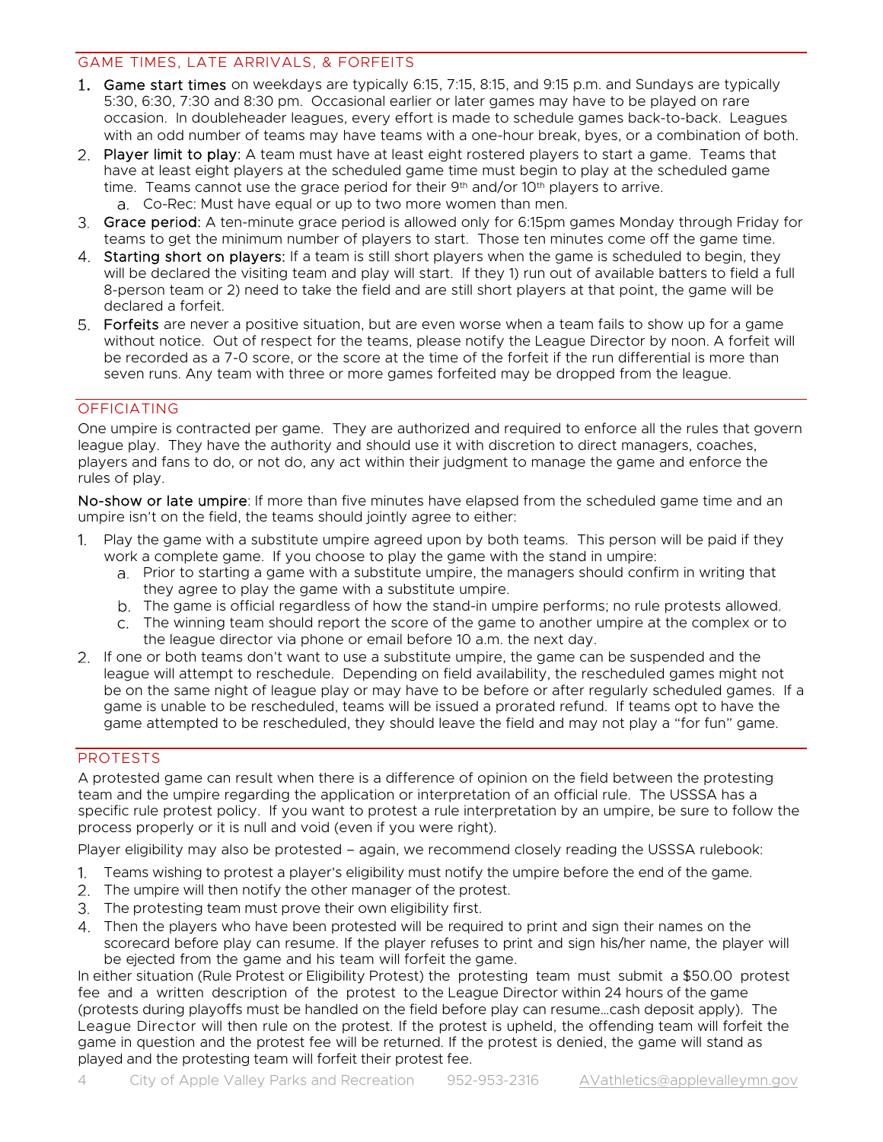## GAME TIMES, LATE ARRIVALS, & FORFEITS

- Game start times on weekdays are typically 6:15, 7:15, 8:15, and 9:15 p.m. and Sundays are typically 5:30, 6:30, 7:30 and 8:30 pm. Occasional earlier or later games may have to be played on rare occasion. In doubleheader leagues, every effort is made to schedule games back-to-back. Leagues with an odd number of teams may have teams with a one-hour break, byes, or a combination of both.
- 2. Player limit to play: A team must have at least eight rostered players to start a game. Teams that have at least eight players at the scheduled game time must begin to play at the scheduled game time. Teams cannot use the grace period for their  $9<sup>th</sup>$  and/or  $10<sup>th</sup>$  players to arrive. Co-Rec: Must have equal or up to two more women than men.
- 3. Grace period: A ten-minute grace period is allowed only for 6:15pm games Monday through Friday for teams to get the minimum number of players to start. Those ten minutes come off the game time.
- 4. Starting short on players: If a team is still short players when the game is scheduled to begin, they will be declared the visiting team and play will start. If they 1) run out of available batters to field a full 8-person team or 2) need to take the field and are still short players at that point, the game will be declared a forfeit.
- 5. Forfeits are never a positive situation, but are even worse when a team fails to show up for a game without notice. Out of respect for the teams, please notify the League Director by noon. A forfeit will be recorded as a 7-0 score, or the score at the time of the forfeit if the run differential is more than seven runs. Any team with three or more games forfeited may be dropped from the league.

# OFFICIATING

One umpire is contracted per game. They are authorized and required to enforce all the rules that govern league play. They have the authority and should use it with discretion to direct managers, coaches, players and fans to do, or not do, any act within their judgment to manage the game and enforce the rules of play.

No-show or late umpire: If more than five minutes have elapsed from the scheduled game time and an umpire isn't on the field, the teams should jointly agree to either:

- Play the game with a substitute umpire agreed upon by both teams. This person will be paid if they  $1<sub>1</sub>$ work a complete game. If you choose to play the game with the stand in umpire:
	- Prior to starting a game with a substitute umpire, the managers should confirm in writing that they agree to play the game with a substitute umpire.
	- The game is official regardless of how the stand-in umpire performs; no rule protests allowed.
	- The winning team should report the score of the game to another umpire at the complex or to the league director via phone or email before 10 a.m. the next day.
- 2. If one or both teams don't want to use a substitute umpire, the game can be suspended and the league will attempt to reschedule. Depending on field availability, the rescheduled games might not be on the same night of league play or may have to be before or after regularly scheduled games. If a game is unable to be rescheduled, teams will be issued a prorated refund. If teams opt to have the game attempted to be rescheduled, they should leave the field and may not play a "for fun" game.

## PROTESTS

A protested game can result when there is a difference of opinion on the field between the protesting team and the umpire regarding the application or interpretation of an official rule. The USSSA has a specific rule protest policy. If you want to protest a rule interpretation by an umpire, be sure to follow the process properly or it is null and void (even if you were right).

Player eligibility may also be protested – again, we recommend closely reading the USSSA rulebook:

- Teams wishing to protest a player's eligibility must notify the umpire before the end of the game.
- 2. The umpire will then notify the other manager of the protest.
- The protesting team must prove their own eligibility first.
- Then the players who have been protested will be required to print and sign their names on the scorecard before play can resume. If the player refuses to print and sign his/her name, the player will be ejected from the game and his team will forfeit the game.

In either situation (Rule Protest or Eligibility Protest) the protesting team must submit a \$50.00 protest fee and a written description of the protest to the League Director within 24 hours of the game (protests during playoffs must be handled on the field before play can resume…cash deposit apply). The League Director will then rule on the protest. If the protest is upheld, the offending team will forfeit the game in question and the protest fee will be returned. If the protest is denied, the game will stand as played and the protesting team will forfeit their protest fee.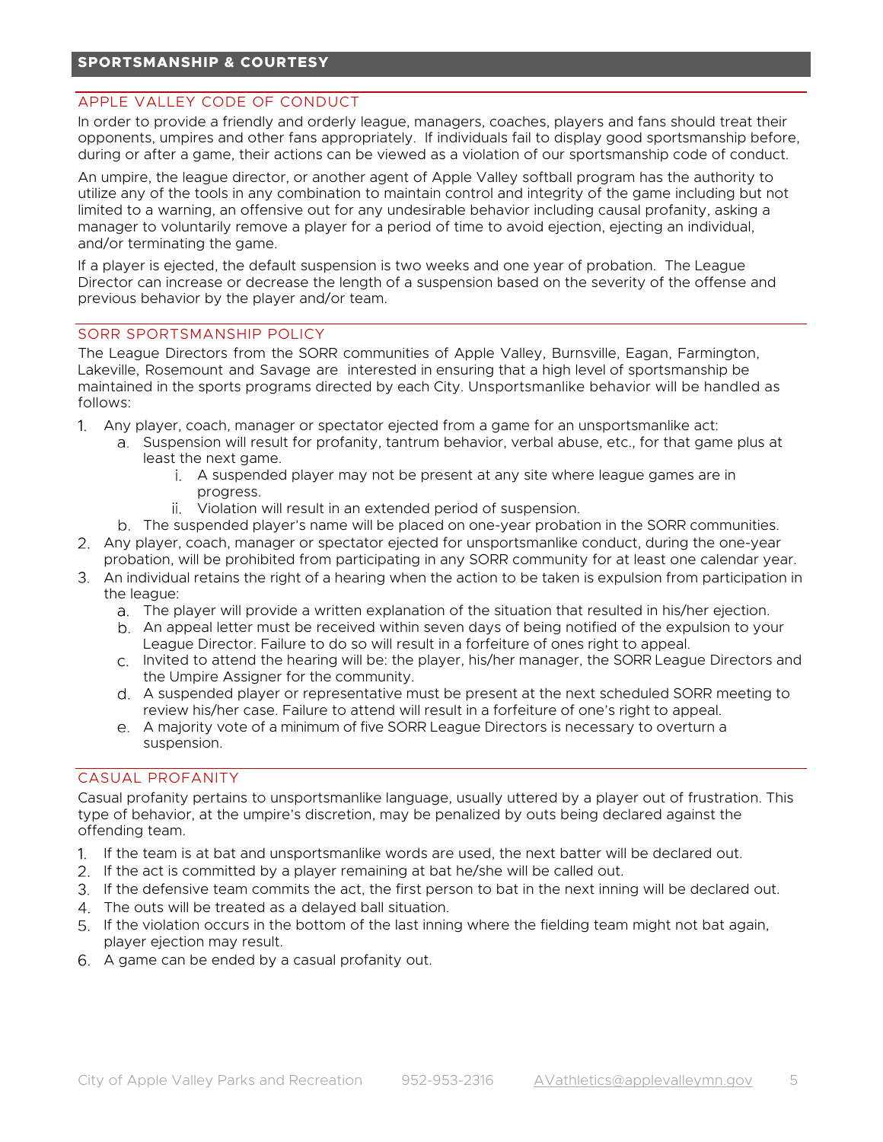# **SPORTSMANSHIP & COURTESY**

#### APPLE VALLEY CODE OF CONDUCT

In order to provide a friendly and orderly league, managers, coaches, players and fans should treat their opponents, umpires and other fans appropriately. If individuals fail to display good sportsmanship before, during or after a game, their actions can be viewed as a violation of our sportsmanship code of conduct.

An umpire, the league director, or another agent of Apple Valley softball program has the authority to utilize any of the tools in any combination to maintain control and integrity of the game including but not limited to a warning, an offensive out for any undesirable behavior including causal profanity, asking a manager to voluntarily remove a player for a period of time to avoid ejection, ejecting an individual, and/or terminating the game.

If a player is ejected, the default suspension is two weeks and one year of probation. The League Director can increase or decrease the length of a suspension based on the severity of the offense and previous behavior by the player and/or team.

#### SORR SPORTSMANSHIP POLICY

The League Directors from the SORR communities of Apple Valley, Burnsville, Eagan, Farmington, Lakeville, Rosemount and Savage are interested in ensuring that a high level of sportsmanship be maintained in the sports programs directed by each City. Unsportsmanlike behavior will be handled as follows:

- Any player, coach, manager or spectator ejected from a game for an unsportsmanlike act:
	- a. Suspension will result for profanity, tantrum behavior, verbal abuse, etc., for that game plus at least the next game.
		- A suspended player may not be present at any site where league games are in progress.
		- Violation will result in an extended period of suspension.
	- The suspended player's name will be placed on one-year probation in the SORR communities.
- Any player, coach, manager or spectator ejected for unsportsmanlike conduct, during the one-year probation, will be prohibited from participating in any SORR community for at least one calendar year.
- An individual retains the right of a hearing when the action to be taken is expulsion from participation in the league:
	- The player will provide a written explanation of the situation that resulted in his/her ejection.
	- An appeal letter must be received within seven days of being notified of the expulsion to your League Director. Failure to do so will result in a forfeiture of ones right to appeal.
	- Invited to attend the hearing will be: the player, his/her manager, the SORR League Directors and the Umpire Assigner for the community.
	- A suspended player or representative must be present at the next scheduled SORR meeting to review his/her case. Failure to attend will result in a forfeiture of one's right to appeal.
	- A majority vote of a minimum of five SORR League Directors is necessary to overturn a suspension.

# CASUAL PROFANITY

Casual profanity pertains to unsportsmanlike language, usually uttered by a player out of frustration. This type of behavior, at the umpire's discretion, may be penalized by outs being declared against the offending team.

- If the team is at bat and unsportsmanlike words are used, the next batter will be declared out.
- 2. If the act is committed by a player remaining at bat he/she will be called out.
- If the defensive team commits the act, the first person to bat in the next inning will be declared out.
- The outs will be treated as a delayed ball situation.
- If the violation occurs in the bottom of the last inning where the fielding team might not bat again, player ejection may result.
- A game can be ended by a casual profanity out.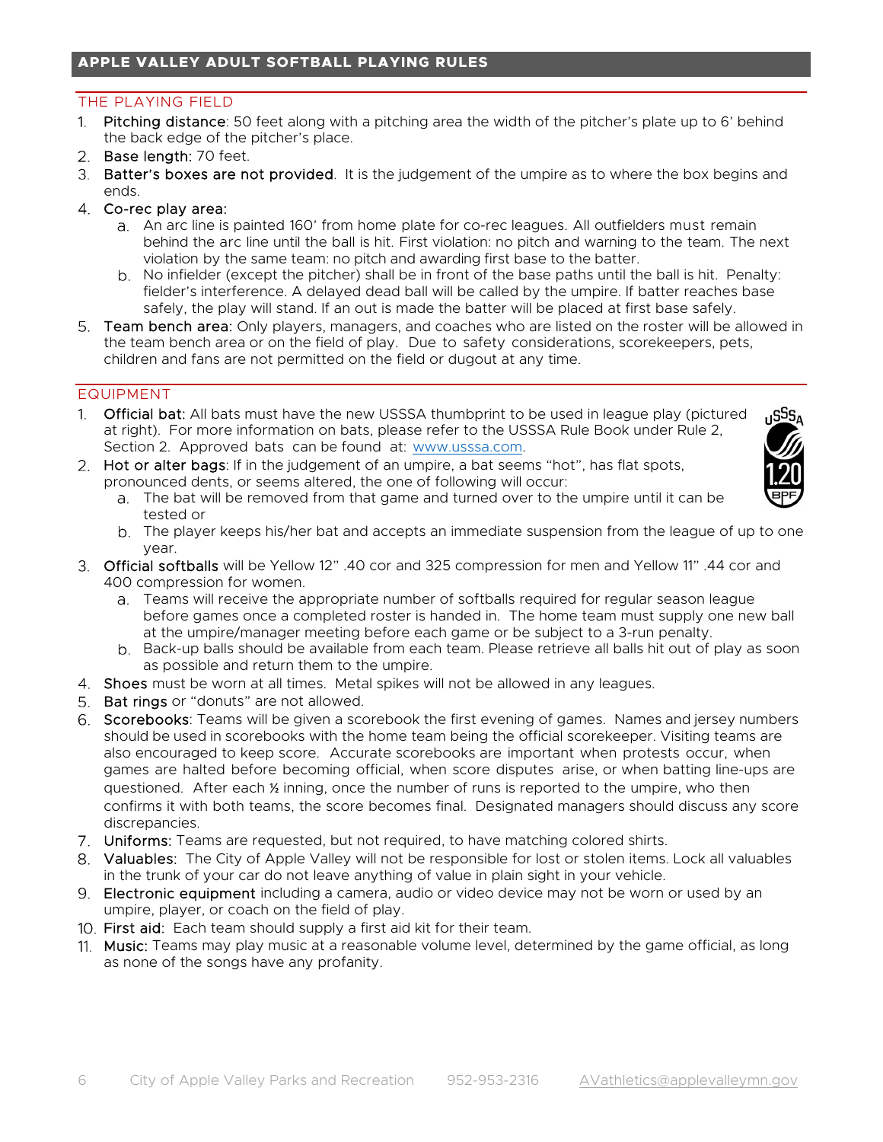# THE PLAYING FIELD

- 1. Pitching distance: 50 feet along with a pitching area the width of the pitcher's plate up to 6' behind the back edge of the pitcher's place.
- 2. Base length: 70 feet.
- 3. Batter's boxes are not provided. It is the judgement of the umpire as to where the box begins and ends.
- Co-rec play area:
	- An arc line is painted 160' from home plate for co-rec leagues. All outfielders must remain behind the arc line until the ball is hit. First violation: no pitch and warning to the team. The next violation by the same team: no pitch and awarding first base to the batter.
	- b. No infielder (except the pitcher) shall be in front of the base paths until the ball is hit. Penalty: fielder's interference. A delayed dead ball will be called by the umpire. If batter reaches base safely, the play will stand. If an out is made the batter will be placed at first base safely.
- 5. Team bench area: Only players, managers, and coaches who are listed on the roster will be allowed in the team bench area or on the field of play. Due to safety considerations, scorekeepers, pets, children and fans are not permitted on the field or dugout at any time.

# EQUIPMENT

- 1. **Official bat:** All bats must have the new USSSA thumbprint to be used in league play (pictured at right). For more information on bats, please refer to the USSSA Rule Book under Rule 2, Section 2. Approved bats can be found at: www.usssa.com.
- 2. Hot or alter bags: If in the judgement of an umpire, a bat seems "hot", has flat spots, pronounced dents, or seems altered, the one of following will occur:



- The bat will be removed from that game and turned over to the umpire until it can be tested or
- The player keeps his/her bat and accepts an immediate suspension from the league of up to one year.
- Official softballs will be Yellow 12" .40 cor and 325 compression for men and Yellow 11" .44 cor and 400 compression for women.
	- Teams will receive the appropriate number of softballs required for regular season league before games once a completed roster is handed in. The home team must supply one new ball at the umpire/manager meeting before each game or be subject to a 3-run penalty.
	- b. Back-up balls should be available from each team. Please retrieve all balls hit out of play as soon as possible and return them to the umpire.
- Shoes must be worn at all times. Metal spikes will not be allowed in any leagues.
- 5. Bat rings or "donuts" are not allowed.
- Scorebooks: Teams will be given a scorebook the first evening of games. Names and jersey numbers should be used in scorebooks with the home team being the official scorekeeper. Visiting teams are also encouraged to keep score. Accurate scorebooks are important when protests occur, when games are halted before becoming official, when score disputes arise, or when batting line-ups are questioned. After each ½ inning, once the number of runs is reported to the umpire, who then confirms it with both teams, the score becomes final. Designated managers should discuss any score discrepancies.
- Uniforms: Teams are requested, but not required, to have matching colored shirts.
- Valuables: The City of Apple Valley will not be responsible for lost or stolen items. Lock all valuables in the trunk of your car do not leave anything of value in plain sight in your vehicle.
- Electronic equipment including a camera, audio or video device may not be worn or used by an umpire, player, or coach on the field of play.
- 10. First aid: Each team should supply a first aid kit for their team.
- 11. Music: Teams may play music at a reasonable volume level, determined by the game official, as long as none of the songs have any profanity.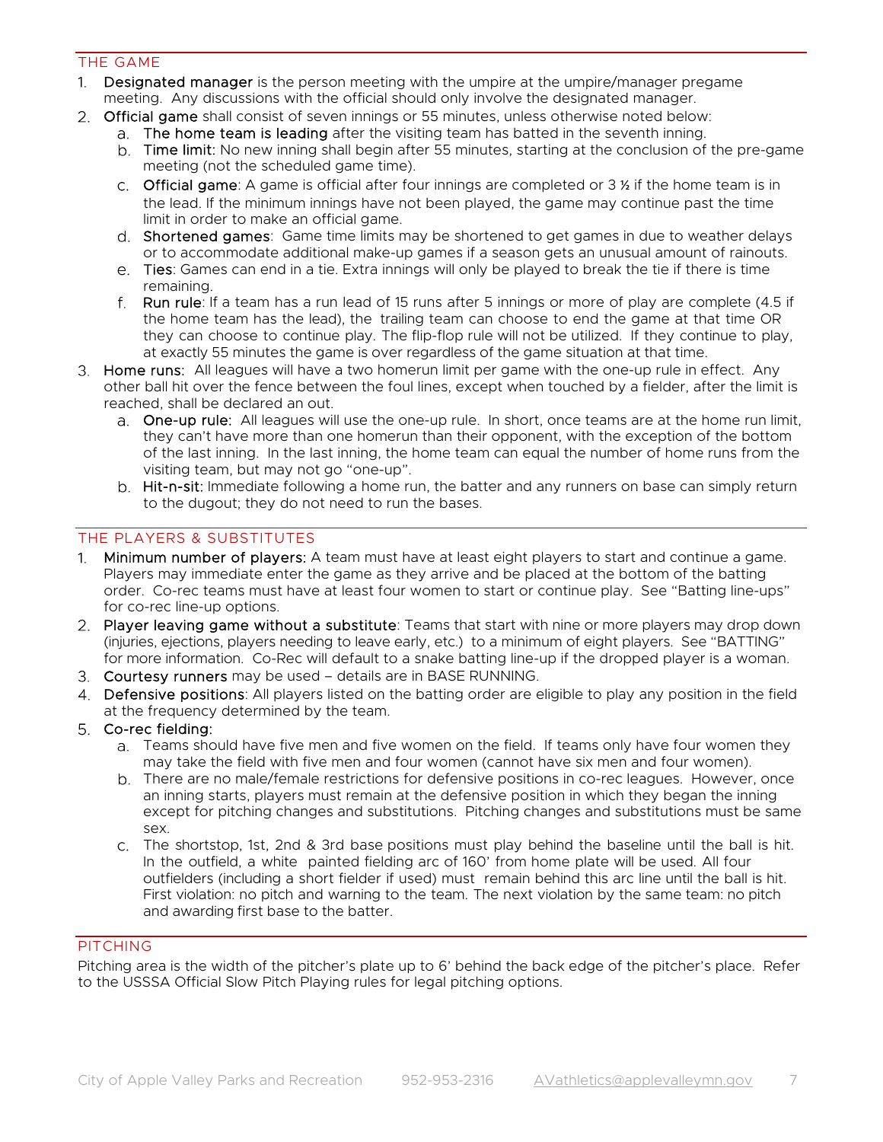## THE GAME

- 1. Designated manager is the person meeting with the umpire at the umpire/manager pregame meeting. Any discussions with the official should only involve the designated manager.
- 2. Official game shall consist of seven innings or 55 minutes, unless otherwise noted below:
	- The home team is leading after the visiting team has batted in the seventh inning.
	- b. Time limit: No new inning shall begin after 55 minutes, starting at the conclusion of the pre-game meeting (not the scheduled game time).
	- c. Official game: A game is official after four innings are completed or  $3\frac{1}{2}$  if the home team is in the lead. If the minimum innings have not been played, the game may continue past the time limit in order to make an official game.
	- d. Shortened games: Game time limits may be shortened to get games in due to weather delays or to accommodate additional make-up games if a season gets an unusual amount of rainouts.
	- Ties: Games can end in a tie. Extra innings will only be played to break the tie if there is time remaining.
	- f. Run rule: If a team has a run lead of 15 runs after 5 innings or more of play are complete (4.5 if the home team has the lead), the trailing team can choose to end the game at that time OR they can choose to continue play. The flip-flop rule will not be utilized. If they continue to play, at exactly 55 minutes the game is over regardless of the game situation at that time.
- 3. Home runs: All leagues will have a two homerun limit per game with the one-up rule in effect. Any other ball hit over the fence between the foul lines, except when touched by a fielder, after the limit is reached, shall be declared an out.
	- a. One-up rule: All leagues will use the one-up rule. In short, once teams are at the home run limit, they can't have more than one homerun than their opponent, with the exception of the bottom of the last inning. In the last inning, the home team can equal the number of home runs from the visiting team, but may not go "one-up".
	- b. Hit-n-sit: Immediate following a home run, the batter and any runners on base can simply return to the dugout; they do not need to run the bases.

# THE PLAYERS & SUBSTITUTES

- 1. Minimum number of players: A team must have at least eight players to start and continue a game. Players may immediate enter the game as they arrive and be placed at the bottom of the batting order. Co-rec teams must have at least four women to start or continue play. See "Batting line-ups" for co-rec line-up options.
- 2. Player leaving game without a substitute: Teams that start with nine or more players may drop down (injuries, ejections, players needing to leave early, etc.) to a minimum of eight players. See "BATTING" for more information. Co-Rec will default to a snake batting line-up if the dropped player is a woman.
- Courtesy runners may be used details are in BASE RUNNING.
- Defensive positions: All players listed on the batting order are eligible to play any position in the field at the frequency determined by the team.
- Co-rec fielding:
	- Teams should have five men and five women on the field. If teams only have four women they may take the field with five men and four women (cannot have six men and four women).
	- There are no male/female restrictions for defensive positions in co-rec leagues. However, once an inning starts, players must remain at the defensive position in which they began the inning except for pitching changes and substitutions. Pitching changes and substitutions must be same sex.
	- The shortstop, 1st, 2nd & 3rd base positions must play behind the baseline until the ball is hit. In the outfield, a white painted fielding arc of 160' from home plate will be used. All four outfielders (including a short fielder if used) must remain behind this arc line until the ball is hit. First violation: no pitch and warning to the team. The next violation by the same team: no pitch and awarding first base to the batter.

## PITCHING

Pitching area is the width of the pitcher's plate up to 6' behind the back edge of the pitcher's place. Refer to the USSSA Official Slow Pitch Playing rules for legal pitching options.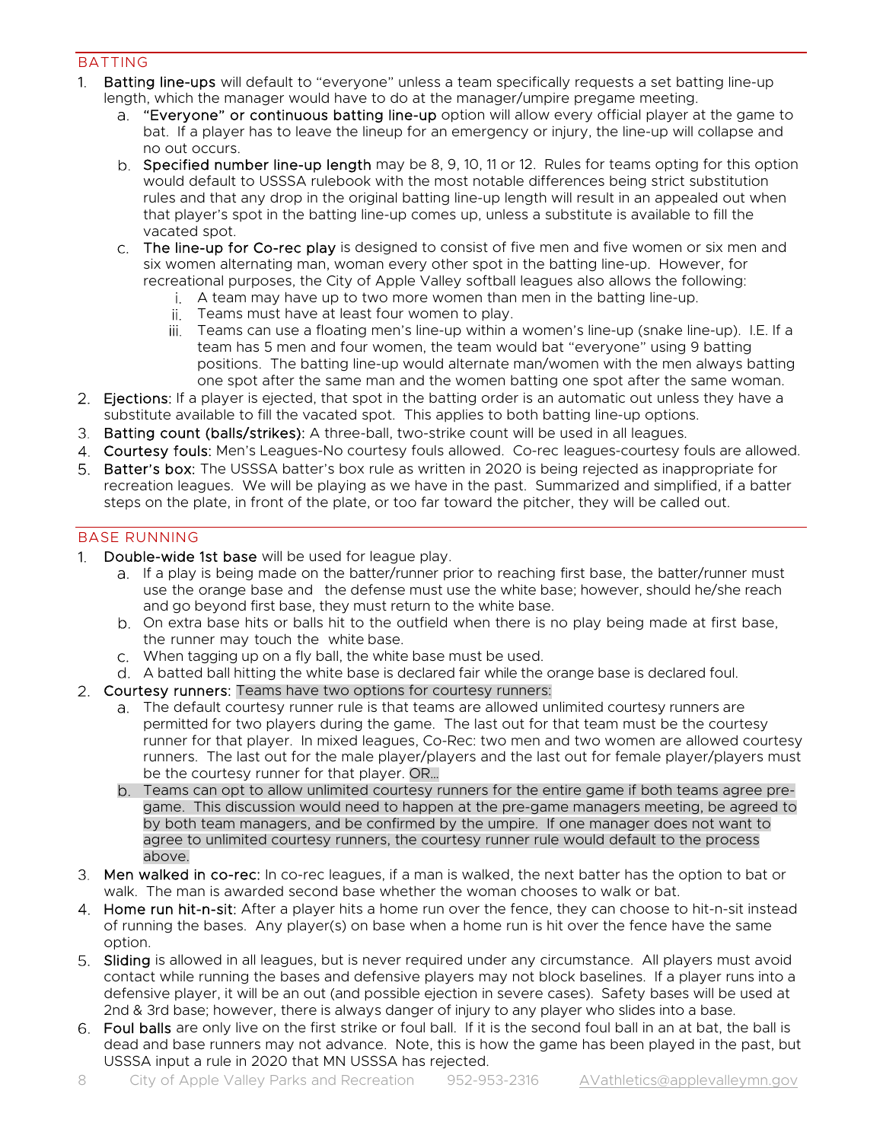## BATTING

- 1. Batting line-ups will default to "everyone" unless a team specifically requests a set batting line-up length, which the manager would have to do at the manager/umpire pregame meeting.
	- a. **"Everyone" or continuous batting line-up** option will allow every official player at the game to bat. If a player has to leave the lineup for an emergency or injury, the line-up will collapse and no out occurs.
	- b. Specified number line-up length may be 8, 9, 10, 11 or 12. Rules for teams opting for this option would default to USSSA rulebook with the most notable differences being strict substitution rules and that any drop in the original batting line-up length will result in an appealed out when that player's spot in the batting line-up comes up, unless a substitute is available to fill the vacated spot.
	- The line-up for Co-rec play is designed to consist of five men and five women or six men and six women alternating man, woman every other spot in the batting line-up. However, for recreational purposes, the City of Apple Valley softball leagues also allows the following:
		- A team may have up to two more women than men in the batting line-up.
		- ii. Teams must have at least four women to play.
		- Teams can use a floating men's line-up within a women's line-up (snake line-up). I.E. If a team has 5 men and four women, the team would bat "everyone" using 9 batting positions. The batting line-up would alternate man/women with the men always batting one spot after the same man and the women batting one spot after the same woman.
- 2. Ejections: If a player is ejected, that spot in the batting order is an automatic out unless they have a substitute available to fill the vacated spot. This applies to both batting line-up options.
- Batting count (balls/strikes): A three-ball, two-strike count will be used in all leagues.
- 4. Courtesy fouls: Men's Leagues-No courtesy fouls allowed. Co-rec leagues-courtesy fouls are allowed.
- 5. Batter's box: The USSSA batter's box rule as written in 2020 is being rejected as inappropriate for recreation leagues. We will be playing as we have in the past. Summarized and simplified, if a batter steps on the plate, in front of the plate, or too far toward the pitcher, they will be called out.

# BASE RUNNING

- 1. Double-wide 1st base will be used for league play.
	- a. If a play is being made on the batter/runner prior to reaching first base, the batter/runner must use the orange base and the defense must use the white base; however, should he/she reach and go beyond first base, they must return to the white base.
	- On extra base hits or balls hit to the outfield when there is no play being made at first base, the runner may touch the white base.
	- When tagging up on a fly ball, the white base must be used.
	- A batted ball hitting the white base is declared fair while the orange base is declared foul.
- 2. Courtesy runners: Teams have two options for courtesy runners:
	- The default courtesy runner rule is that teams are allowed unlimited courtesy runners are permitted for two players during the game. The last out for that team must be the courtesy runner for that player. In mixed leagues, Co-Rec: two men and two women are allowed courtesy runners. The last out for the male player/players and the last out for female player/players must be the courtesy runner for that player. OR…
	- Teams can opt to allow unlimited courtesy runners for the entire game if both teams agree pregame. This discussion would need to happen at the pre-game managers meeting, be agreed to by both team managers, and be confirmed by the umpire. If one manager does not want to agree to unlimited courtesy runners, the courtesy runner rule would default to the process above.
- 3. Men walked in co-rec: In co-rec leagues, if a man is walked, the next batter has the option to bat or walk. The man is awarded second base whether the woman chooses to walk or bat.
- 4. Home run hit-n-sit: After a player hits a home run over the fence, they can choose to hit-n-sit instead of running the bases. Any player(s) on base when a home run is hit over the fence have the same option.
- 5. Sliding is allowed in all leagues, but is never required under any circumstance. All players must avoid contact while running the bases and defensive players may not block baselines. If a player runs into a defensive player, it will be an out (and possible ejection in severe cases). Safety bases will be used at 2nd & 3rd base; however, there is always danger of injury to any player who slides into a base.
- Foul balls are only live on the first strike or foul ball. If it is the second foul ball in an at bat, the ball is dead and base runners may not advance. Note, this is how the game has been played in the past, but USSSA input a rule in 2020 that MN USSSA has rejected.